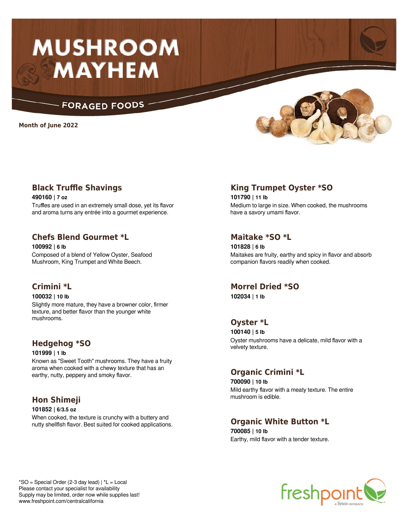# **MUSHROOM MAYHEM**

## **FORAGED FOODS**

**Month of June 2022**



## **Black Truffle Shavings**

**490160 | 7 oz** Truffles are used in an extremely small dose, yet its flavor and aroma turns any entrée into a gourmet experience.

## **Chefs Blend Gourmet \*L**

**100992 | 6 lb** Composed of a blend of Yellow Oyster, Seafood Mushroom, King Trumpet and White Beech.

## **Crimini \*L**

**100032 | 10 lb**

Slightly more mature, they have a browner color, firmer texture, and better flavor than the younger white mushrooms.

## **Hedgehog \*SO**

**101999 | 1 lb** Known as "Sweet Tooth" mushrooms. They have a fruity aroma when cooked with a chewy texture that has an earthy, nutty, peppery and smoky flavor.

## **Hon Shimeji**

**101852 | 6/3.5 oz** When cooked, the texture is crunchy with a buttery and nutty shellfish flavor. Best suited for cooked applications.

## **King Trumpet Oyster \*SO**

**101790 | 11 lb** Medium to large in size. When cooked, the mushrooms have a savory umami flavor.

## **Maitake \*SO \*L**

**101828 | 6 lb** Maitakes are fruity, earthy and spicy in flavor and absorb companion flavors readily when cooked.

## **Morrel Dried \*SO**

**102034 | 1 lb**

## **Oyster \*L**

**100140 | 5 lb** Oyster mushrooms have a delicate, mild flavor with a velvety texture.

## **Organic Crimini \*L**

**700090 | 10 lb** Mild earthy flavor with a meaty texture. The entire mushroom is edible.

# **Organic White Button \*L**

**700085 | 10 lb** Earthy, mild flavor with a tender texture.

 $*SO = Special Order (2-3 day lead) | *L = Local$ Please contact your specialist for availability Supply may be limited, order now while supplies last! www.freshpoint.com/centralcalifornia